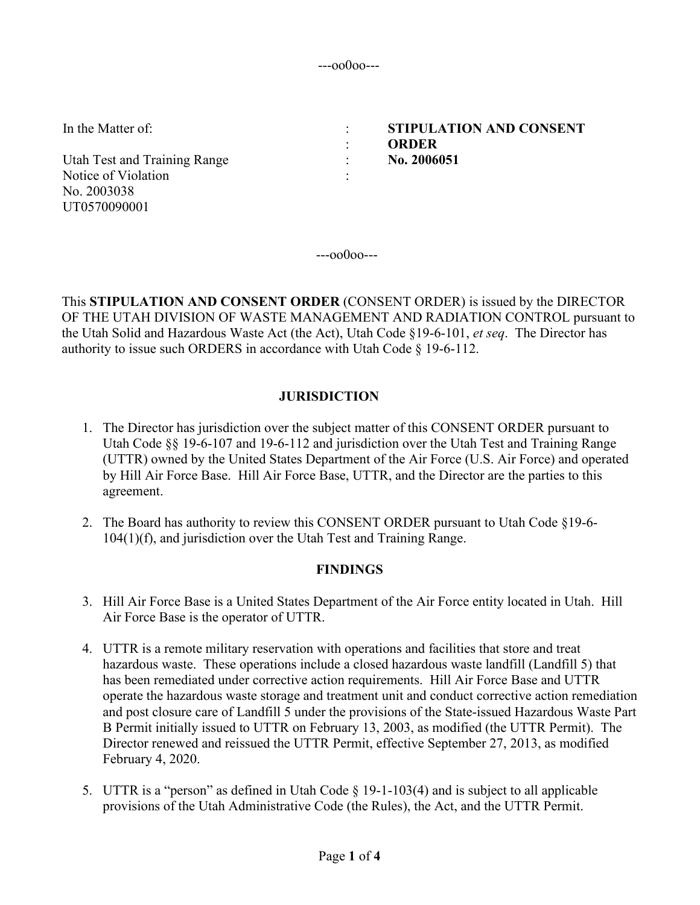---oo0oo---

:

: :

In the Matter of:  $\cdot$  :

Utah Test and Training Range Notice of Violation No. 2003038 UT0570090001

**STIPULATION AND CONSENT ORDER No. 2006051**

 $--00000--$ 

This **STIPULATION AND CONSENT ORDER** (CONSENT ORDER) is issued by the DIRECTOR OF THE UTAH DIVISION OF WASTE MANAGEMENT AND RADIATION CONTROL pursuant to the Utah Solid and Hazardous Waste Act (the Act), Utah Code §19-6-101, *et seq*. The Director has authority to issue such ORDERS in accordance with Utah Code § 19-6-112.

# **JURISDICTION**

- 1. The Director has jurisdiction over the subject matter of this CONSENT ORDER pursuant to Utah Code  $\S$ § 19-6-107 and 19-6-112 and jurisdiction over the Utah Test and Training Range (UTTR) owned by the United States Department of the Air Force (U.S. Air Force) and operated by Hill Air Force Base. Hill Air Force Base, UTTR, and the Director are the parties to this agreement.
- 2. The Board has authority to review this CONSENT ORDER pursuant to Utah Code §19-6- 104(1)(f), and jurisdiction over the Utah Test and Training Range.

## **FINDINGS**

- 3. Hill Air Force Base is a United States Department of the Air Force entity located in Utah. Hill Air Force Base is the operator of UTTR.
- 4. UTTR is a remote military reservation with operations and facilities that store and treat hazardous waste. These operations include a closed hazardous waste landfill (Landfill 5) that has been remediated under corrective action requirements. Hill Air Force Base and UTTR operate the hazardous waste storage and treatment unit and conduct corrective action remediation and post closure care of Landfill 5 under the provisions of the State-issued Hazardous Waste Part B Permit initially issued to UTTR on February 13, 2003, as modified (the UTTR Permit). The Director renewed and reissued the UTTR Permit, effective September 27, 2013, as modified February 4, 2020.
- 5. UTTR is a "person" as defined in Utah Code § 19-1-103(4) and is subject to all applicable provisions of the Utah Administrative Code (the Rules), the Act, and the UTTR Permit.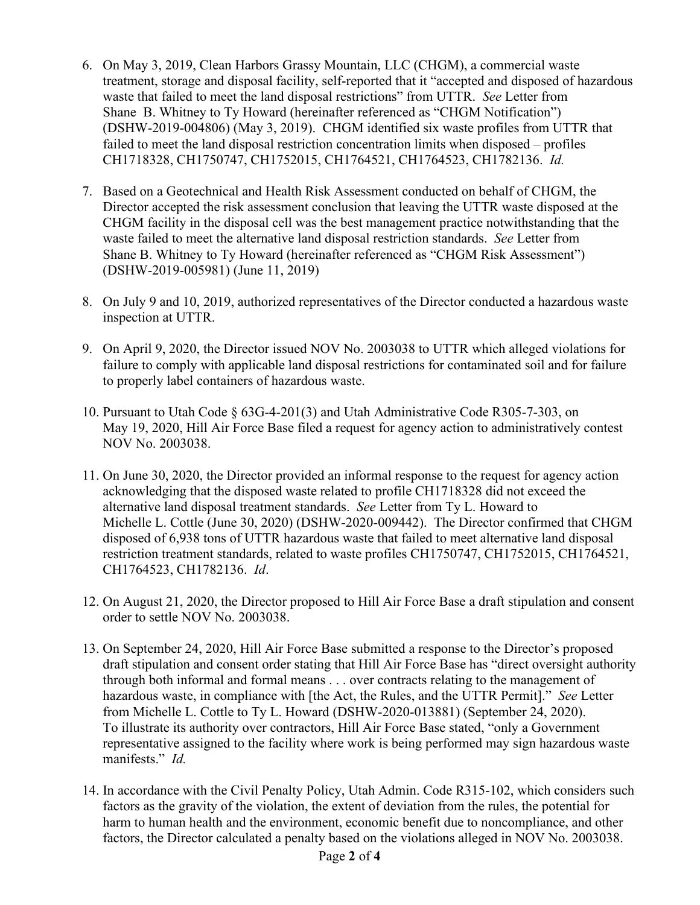- 6. On May 3, 2019, Clean Harbors Grassy Mountain, LLC (CHGM), a commercial waste treatment, storage and disposal facility, self-reported that it "accepted and disposed of hazardous waste that failed to meet the land disposal restrictions" from UTTR. *See* Letter from Shane B. Whitney to Ty Howard (hereinafter referenced as "CHGM Notification") (DSHW-2019-004806) (May 3, 2019). CHGM identified six waste profiles from UTTR that failed to meet the land disposal restriction concentration limits when disposed – profiles CH1718328, CH1750747, CH1752015, CH1764521, CH1764523, CH1782136. *Id.*
- 7. Based on a Geotechnical and Health Risk Assessment conducted on behalf of CHGM, the Director accepted the risk assessment conclusion that leaving the UTTR waste disposed at the CHGM facility in the disposal cell was the best management practice notwithstanding that the waste failed to meet the alternative land disposal restriction standards. *See* Letter from Shane B. Whitney to Ty Howard (hereinafter referenced as "CHGM Risk Assessment") (DSHW-2019-005981) (June 11, 2019)
- 8. On July 9 and 10, 2019, authorized representatives of the Director conducted a hazardous waste inspection at UTTR.
- 9. On April 9, 2020, the Director issued NOV No. 2003038 to UTTR which alleged violations for failure to comply with applicable land disposal restrictions for contaminated soil and for failure to properly label containers of hazardous waste.
- 10. Pursuant to Utah Code § 63G-4-201(3) and Utah Administrative Code R305-7-303, on May 19, 2020, Hill Air Force Base filed a request for agency action to administratively contest NOV No. 2003038.
- 11. On June 30, 2020, the Director provided an informal response to the request for agency action acknowledging that the disposed waste related to profile CH1718328 did not exceed the alternative land disposal treatment standards. *See* Letter from Ty L. Howard to Michelle L. Cottle (June 30, 2020) (DSHW-2020-009442). The Director confirmed that CHGM disposed of 6,938 tons of UTTR hazardous waste that failed to meet alternative land disposal restriction treatment standards, related to waste profiles CH1750747, CH1752015, CH1764521, CH1764523, CH1782136. *Id*.
- 12. On August 21, 2020, the Director proposed to Hill Air Force Base a draft stipulation and consent order to settle NOV No. 2003038.
- 13. On September 24, 2020, Hill Air Force Base submitted a response to the Director's proposed draft stipulation and consent order stating that Hill Air Force Base has "direct oversight authority through both informal and formal means . . . over contracts relating to the management of hazardous waste, in compliance with [the Act, the Rules, and the UTTR Permit]." *See* Letter from Michelle L. Cottle to Ty L. Howard (DSHW-2020-013881) (September 24, 2020). To illustrate its authority over contractors, Hill Air Force Base stated, "only a Government representative assigned to the facility where work is being performed may sign hazardous waste manifests." *Id.*
- 14. In accordance with the Civil Penalty Policy, Utah Admin. Code R315-102, which considers such factors as the gravity of the violation, the extent of deviation from the rules, the potential for harm to human health and the environment, economic benefit due to noncompliance, and other factors, the Director calculated a penalty based on the violations alleged in NOV No. 2003038.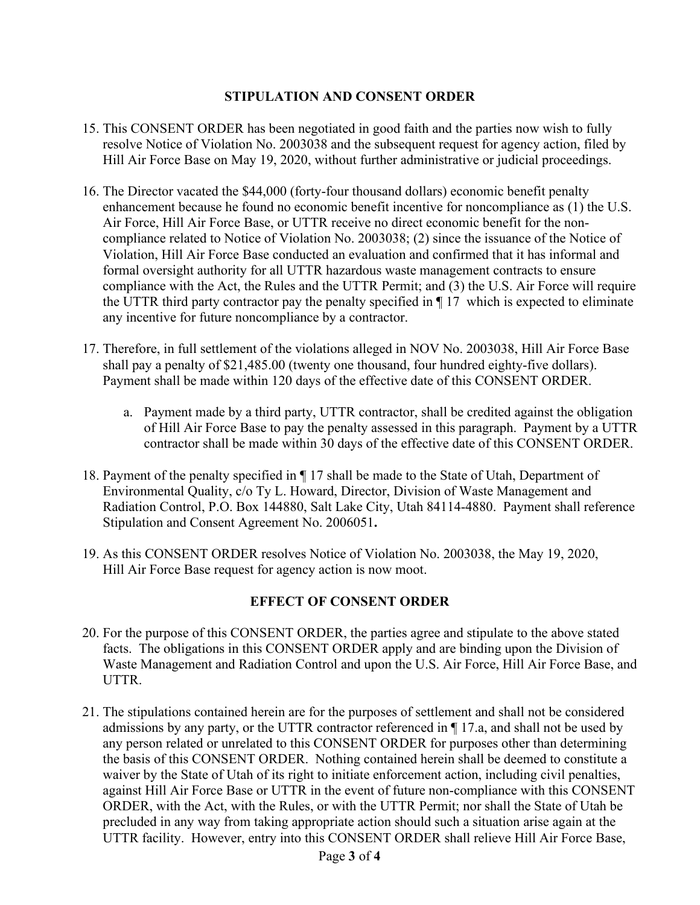## **STIPULATION AND CONSENT ORDER**

- 15. This CONSENT ORDER has been negotiated in good faith and the parties now wish to fully resolve Notice of Violation No. 2003038 and the subsequent request for agency action, filed by Hill Air Force Base on May 19, 2020, without further administrative or judicial proceedings.
- 16. The Director vacated the \$44,000 (forty-four thousand dollars) economic benefit penalty enhancement because he found no economic benefit incentive for noncompliance as (1) the U.S. Air Force, Hill Air Force Base, or UTTR receive no direct economic benefit for the noncompliance related to Notice of Violation No. 2003038; (2) since the issuance of the Notice of Violation, Hill Air Force Base conducted an evaluation and confirmed that it has informal and formal oversight authority for all UTTR hazardous waste management contracts to ensure compliance with the Act, the Rules and the UTTR Permit; and (3) the U.S. Air Force will require the UTTR third party contractor pay the penalty specified in ¶ 17 which is expected to eliminate any incentive for future noncompliance by a contractor.
- 17. Therefore, in full settlement of the violations alleged in NOV No. 2003038, Hill Air Force Base shall pay a penalty of \$21,485.00 (twenty one thousand, four hundred eighty-five dollars). Payment shall be made within 120 days of the effective date of this CONSENT ORDER.
	- a. Payment made by a third party, UTTR contractor, shall be credited against the obligation of Hill Air Force Base to pay the penalty assessed in this paragraph. Payment by a UTTR contractor shall be made within 30 days of the effective date of this CONSENT ORDER.
- 18. Payment of the penalty specified in ¶ 17 shall be made to the State of Utah, Department of Environmental Quality, c/o Ty L. Howard, Director, Division of Waste Management and Radiation Control, P.O. Box 144880, Salt Lake City, Utah 84114-4880. Payment shall reference Stipulation and Consent Agreement No. 2006051**.**
- 19. As this CONSENT ORDER resolves Notice of Violation No. 2003038, the May 19, 2020, Hill Air Force Base request for agency action is now moot.

## **EFFECT OF CONSENT ORDER**

- 20. For the purpose of this CONSENT ORDER, the parties agree and stipulate to the above stated facts. The obligations in this CONSENT ORDER apply and are binding upon the Division of Waste Management and Radiation Control and upon the U.S. Air Force, Hill Air Force Base, and UTTR.
- 21. The stipulations contained herein are for the purposes of settlement and shall not be considered admissions by any party, or the UTTR contractor referenced in ¶ 17.a, and shall not be used by any person related or unrelated to this CONSENT ORDER for purposes other than determining the basis of this CONSENT ORDER. Nothing contained herein shall be deemed to constitute a waiver by the State of Utah of its right to initiate enforcement action, including civil penalties, against Hill Air Force Base or UTTR in the event of future non-compliance with this CONSENT ORDER, with the Act, with the Rules, or with the UTTR Permit; nor shall the State of Utah be precluded in any way from taking appropriate action should such a situation arise again at the UTTR facility. However, entry into this CONSENT ORDER shall relieve Hill Air Force Base,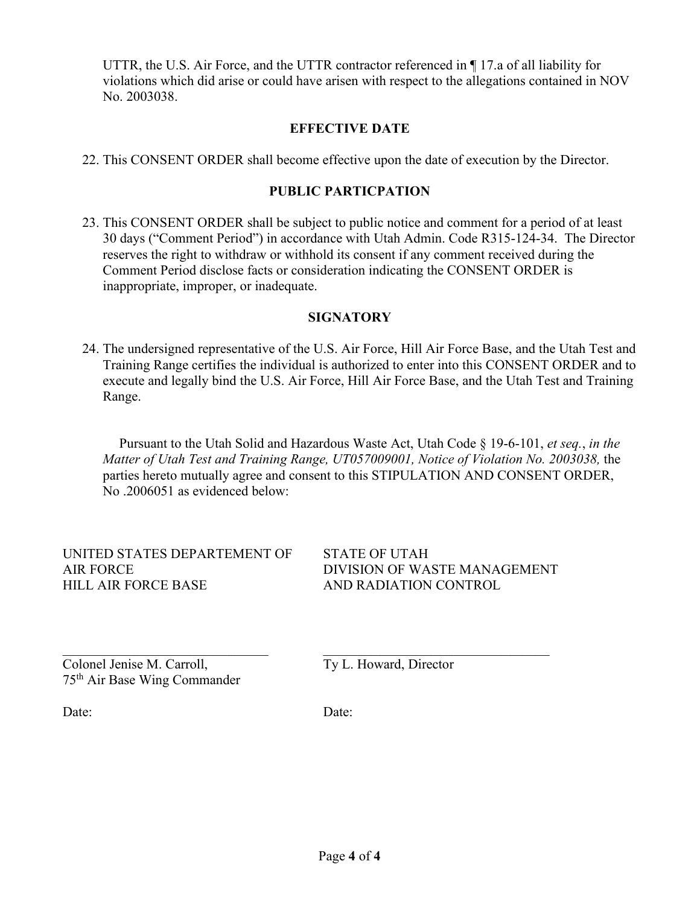UTTR, the U.S. Air Force, and the UTTR contractor referenced in ¶ 17.a of all liability for violations which did arise or could have arisen with respect to the allegations contained in NOV No. 2003038.

## **EFFECTIVE DATE**

22. This CONSENT ORDER shall become effective upon the date of execution by the Director.

# **PUBLIC PARTICPATION**

23. This CONSENT ORDER shall be subject to public notice and comment for a period of at least 30 days ("Comment Period") in accordance with Utah Admin. Code R315-124-34. The Director reserves the right to withdraw or withhold its consent if any comment received during the Comment Period disclose facts or consideration indicating the CONSENT ORDER is inappropriate, improper, or inadequate.

# **SIGNATORY**

24. The undersigned representative of the U.S. Air Force, Hill Air Force Base, and the Utah Test and Training Range certifies the individual is authorized to enter into this CONSENT ORDER and to execute and legally bind the U.S. Air Force, Hill Air Force Base, and the Utah Test and Training Range.

 Pursuant to the Utah Solid and Hazardous Waste Act, Utah Code § 19-6-101, *et seq.*, *in the Matter of Utah Test and Training Range, UT057009001, Notice of Violation No. 2003038,* the parties hereto mutually agree and consent to this STIPULATION AND CONSENT ORDER, No .2006051 as evidenced below:

UNITED STATES DEPARTEMENT OF AIR FORCE HILL AIR FORCE BASE

STATE OF UTAH DIVISION OF WASTE MANAGEMENT AND RADIATION CONTROL

 $\mathcal{L}_\text{max}$  , and the contribution of the contribution of the contribution of the contribution of the contribution of the contribution of the contribution of the contribution of the contribution of the contribution of t Colonel Jenise M. Carroll, 75th Air Base Wing Commander

Ty L. Howard, Director

Date:

Date: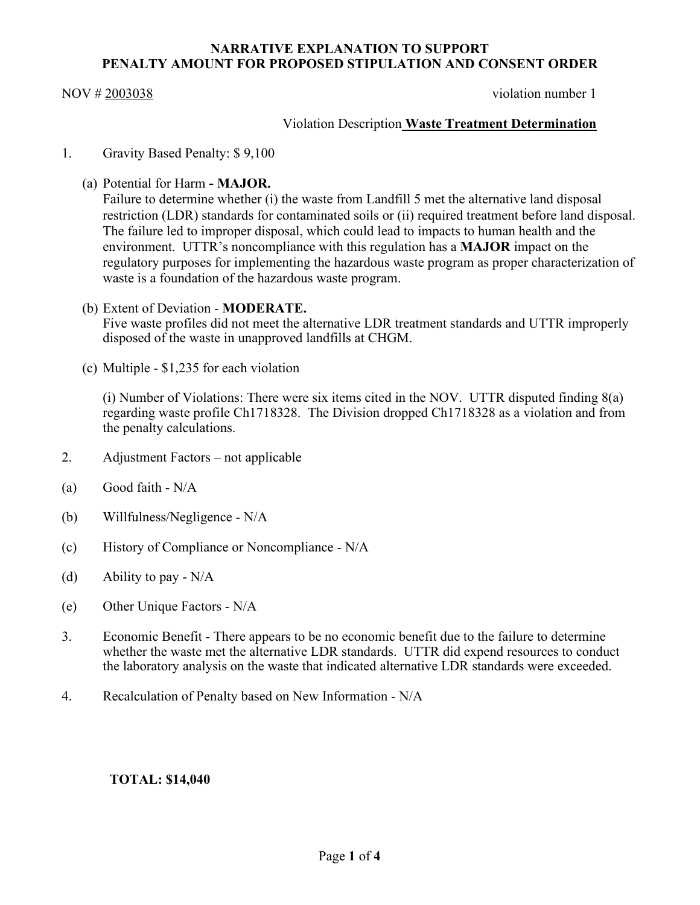### **NARRATIVE EXPLANATION TO SUPPORT PENALTY AMOUNT FOR PROPOSED STIPULATION AND CONSENT ORDER**

NOV # 2003038 violation number 1

## Violation Description **Waste Treatment Determination**

- 1. Gravity Based Penalty: \$ 9,100
	- (a) Potential for Harm **- MAJOR.**

Failure to determine whether (i) the waste from Landfill 5 met the alternative land disposal restriction (LDR) standards for contaminated soils or (ii) required treatment before land disposal. The failure led to improper disposal, which could lead to impacts to human health and the environment.UTTR's noncompliance with this regulation has a **MAJOR** impact on the regulatory purposes for implementing the hazardous waste program as proper characterization of waste is a foundation of the hazardous waste program.

- (b) Extent of Deviation **MODERATE.** Five waste profiles did not meet the alternative LDR treatment standards and UTTR improperly disposed of the waste in unapproved landfills at CHGM.
- (c) Multiple \$1,235 for each violation

(i) Number of Violations: There were six items cited in the NOV. UTTR disputed finding 8(a) regarding waste profile Ch1718328. The Division dropped Ch1718328 as a violation and from the penalty calculations.

- 2. Adjustment Factors not applicable
- (a) Good faith N/A
- (b) Willfulness/Negligence N/A
- (c) History of Compliance or Noncompliance N/A
- (d) Ability to pay  $N/A$
- (e) Other Unique Factors N/A
- 3. Economic Benefit There appears to be no economic benefit due to the failure to determine whether the waste met the alternative LDR standards. UTTR did expend resources to conduct the laboratory analysis on the waste that indicated alternative LDR standards were exceeded.
- 4. Recalculation of Penalty based on New Information N/A

## **TOTAL: \$14,040**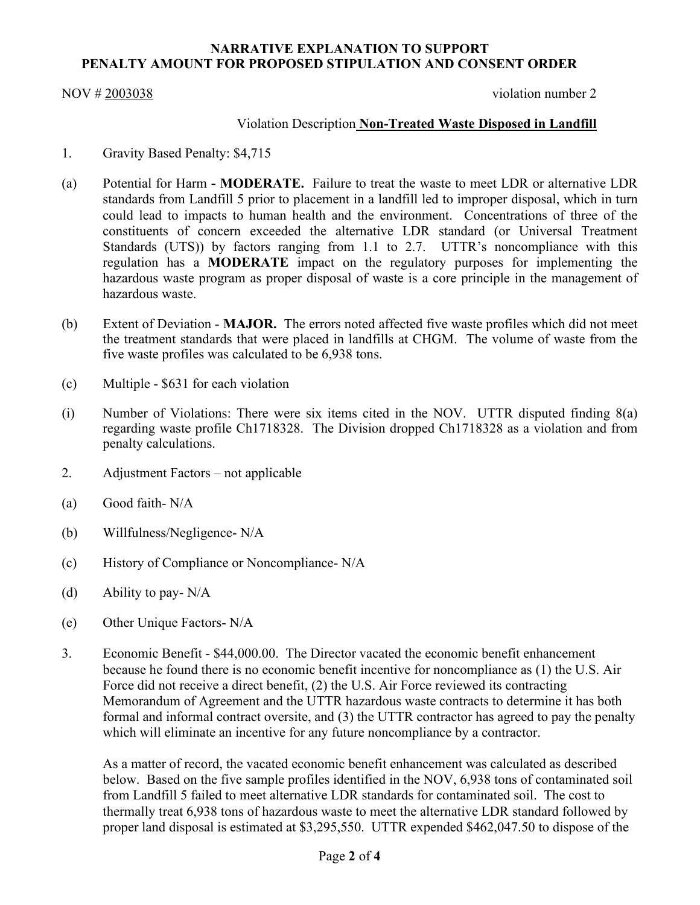### **NARRATIVE EXPLANATION TO SUPPORT PENALTY AMOUNT FOR PROPOSED STIPULATION AND CONSENT ORDER**

NOV # 2003038 violation number 2

## Violation Description **Non-Treated Waste Disposed in Landfill**

- 1. Gravity Based Penalty: \$4,715
- (a) Potential for Harm **- MODERATE.** Failure to treat the waste to meet LDR or alternative LDR standards from Landfill 5 prior to placement in a landfill led to improper disposal, which in turn could lead to impacts to human health and the environment. Concentrations of three of the constituents of concern exceeded the alternative LDR standard (or Universal Treatment Standards (UTS)) by factors ranging from 1.1 to 2.7. UTTR's noncompliance with this regulation has a **MODERATE** impact on the regulatory purposes for implementing the hazardous waste program as proper disposal of waste is a core principle in the management of hazardous waste.
- (b) Extent of Deviation **MAJOR.** The errors noted affected five waste profiles which did not meet the treatment standards that were placed in landfills at CHGM. The volume of waste from the five waste profiles was calculated to be 6,938 tons.
- (c) Multiple \$631 for each violation
- (i) Number of Violations: There were six items cited in the NOV. UTTR disputed finding 8(a) regarding waste profile Ch1718328. The Division dropped Ch1718328 as a violation and from penalty calculations.
- 2. Adjustment Factors not applicable
- (a) Good faith- N/A
- (b) Willfulness/Negligence- N/A
- (c) History of Compliance or Noncompliance- N/A
- (d) Ability to pay- N/A
- (e) Other Unique Factors- N/A
- 3. Economic Benefit \$44,000.00. The Director vacated the economic benefit enhancement because he found there is no economic benefit incentive for noncompliance as (1) the U.S. Air Force did not receive a direct benefit, (2) the U.S. Air Force reviewed its contracting Memorandum of Agreement and the UTTR hazardous waste contracts to determine it has both formal and informal contract oversite, and (3) the UTTR contractor has agreed to pay the penalty which will eliminate an incentive for any future noncompliance by a contractor.

As a matter of record, the vacated economic benefit enhancement was calculated as described below. Based on the five sample profiles identified in the NOV, 6,938 tons of contaminated soil from Landfill 5 failed to meet alternative LDR standards for contaminated soil. The cost to thermally treat 6,938 tons of hazardous waste to meet the alternative LDR standard followed by proper land disposal is estimated at \$3,295,550. UTTR expended \$462,047.50 to dispose of the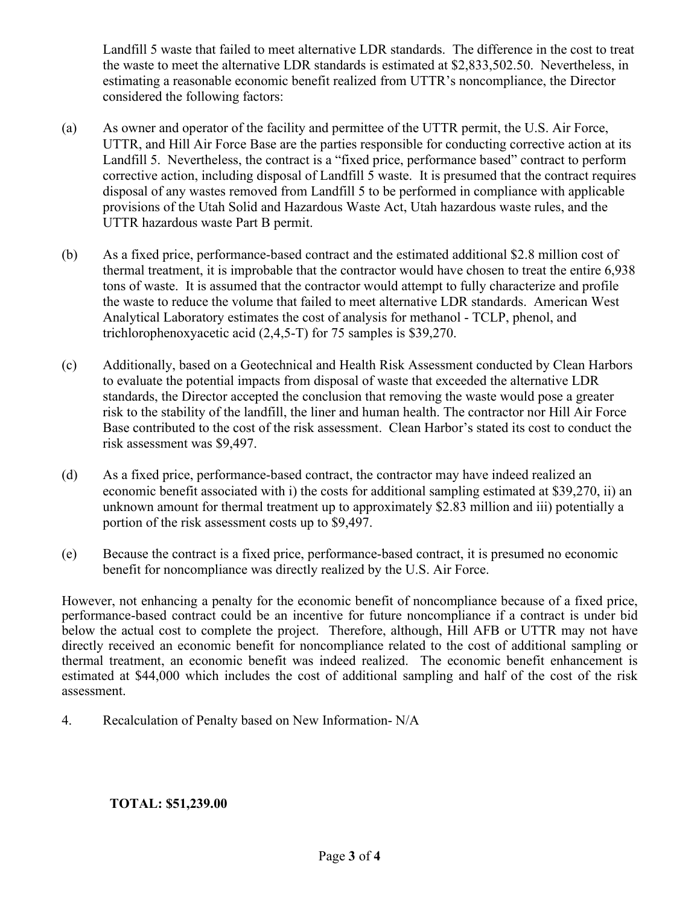Landfill 5 waste that failed to meet alternative LDR standards. The difference in the cost to treat the waste to meet the alternative LDR standards is estimated at \$2,833,502.50. Nevertheless, in estimating a reasonable economic benefit realized from UTTR's noncompliance, the Director considered the following factors:

- (a) As owner and operator of the facility and permittee of the UTTR permit, the U.S. Air Force, UTTR, and Hill Air Force Base are the parties responsible for conducting corrective action at its Landfill 5. Nevertheless, the contract is a "fixed price, performance based" contract to perform corrective action, including disposal of Landfill 5 waste. It is presumed that the contract requires disposal of any wastes removed from Landfill 5 to be performed in compliance with applicable provisions of the Utah Solid and Hazardous Waste Act, Utah hazardous waste rules, and the UTTR hazardous waste Part B permit.
- (b) As a fixed price, performance-based contract and the estimated additional \$2.8 million cost of thermal treatment, it is improbable that the contractor would have chosen to treat the entire 6,938 tons of waste. It is assumed that the contractor would attempt to fully characterize and profile the waste to reduce the volume that failed to meet alternative LDR standards. American West Analytical Laboratory estimates the cost of analysis for methanol - TCLP, phenol, and trichlorophenoxyacetic acid (2,4,5-T) for 75 samples is \$39,270.
- (c) Additionally, based on a Geotechnical and Health Risk Assessment conducted by Clean Harbors to evaluate the potential impacts from disposal of waste that exceeded the alternative LDR standards, the Director accepted the conclusion that removing the waste would pose a greater risk to the stability of the landfill, the liner and human health. The contractor nor Hill Air Force Base contributed to the cost of the risk assessment. Clean Harbor's stated its cost to conduct the risk assessment was \$9,497.
- (d) As a fixed price, performance-based contract, the contractor may have indeed realized an economic benefit associated with i) the costs for additional sampling estimated at \$39,270, ii) an unknown amount for thermal treatment up to approximately \$2.83 million and iii) potentially a portion of the risk assessment costs up to \$9,497.
- (e) Because the contract is a fixed price, performance-based contract, it is presumed no economic benefit for noncompliance was directly realized by the U.S. Air Force.

However, not enhancing a penalty for the economic benefit of noncompliance because of a fixed price, performance-based contract could be an incentive for future noncompliance if a contract is under bid below the actual cost to complete the project. Therefore, although, Hill AFB or UTTR may not have directly received an economic benefit for noncompliance related to the cost of additional sampling or thermal treatment, an economic benefit was indeed realized. The economic benefit enhancement is estimated at \$44,000 which includes the cost of additional sampling and half of the cost of the risk assessment.

4. Recalculation of Penalty based on New Information- N/A

## **TOTAL: \$51,239.00**